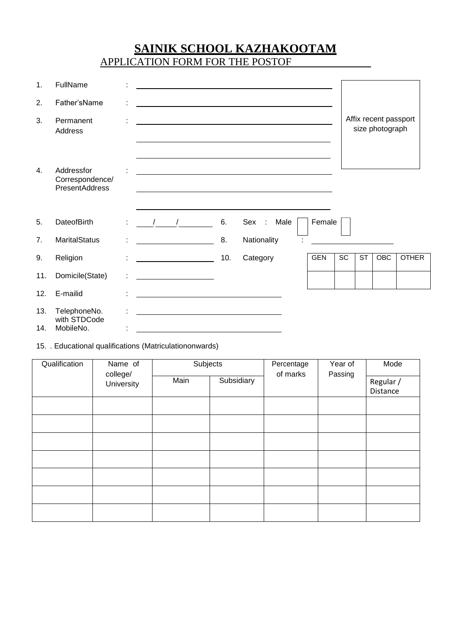# **SAINIK SCHOOL KAZHAKOOTAM**

APPLICATION FORM FOR THE POSTOF

| 1.         | FullName                                               |   |                                                                                                                                                                                                                                                                                                                                                                                                       |  |     |                                                                                                                                                                                                                               |      |            |                 |                        |                                          |              |
|------------|--------------------------------------------------------|---|-------------------------------------------------------------------------------------------------------------------------------------------------------------------------------------------------------------------------------------------------------------------------------------------------------------------------------------------------------------------------------------------------------|--|-----|-------------------------------------------------------------------------------------------------------------------------------------------------------------------------------------------------------------------------------|------|------------|-----------------|------------------------|------------------------------------------|--------------|
| 2.         | Father'sName                                           |   |                                                                                                                                                                                                                                                                                                                                                                                                       |  |     |                                                                                                                                                                                                                               |      |            |                 |                        |                                          |              |
| 3.         | Permanent<br>Address                                   |   |                                                                                                                                                                                                                                                                                                                                                                                                       |  |     |                                                                                                                                                                                                                               |      |            |                 |                        | Affix recent passport<br>size photograph |              |
| 4.         | Addressfor<br>Correspondence/<br><b>PresentAddress</b> |   |                                                                                                                                                                                                                                                                                                                                                                                                       |  |     | the control of the control of the control of the control of the control of the control of the control of the control of the control of the control of the control of the control of the control of the control of the control |      |            |                 |                        |                                          |              |
| 5.         | <b>DateofBirth</b>                                     |   | $\frac{1}{2}$ $\frac{1}{2}$                                                                                                                                                                                                                                                                                                                                                                           |  | 6.  | Sex :                                                                                                                                                                                                                         | Male | Female     |                 |                        |                                          |              |
| 7.         | <b>MaritalStatus</b>                                   |   | <u> Listen van die Stadt van die Stadt van die Stadt van die Stadt van die Stadt van die Stadt van die Stadt van die S</u>                                                                                                                                                                                                                                                                            |  | 8.  | Nationality                                                                                                                                                                                                                   |      |            |                 |                        |                                          |              |
| 9.         | Religion                                               | ÷ | $\label{eq:2.1} \frac{1}{\sqrt{2\pi}}\frac{1}{\sqrt{2\pi}}\frac{1}{\sqrt{2\pi}}\left(\frac{1}{\sqrt{2\pi}}\frac{1}{\sqrt{2\pi}}\frac{1}{\sqrt{2\pi}}\frac{1}{\sqrt{2\pi}}\frac{1}{\sqrt{2\pi}}\frac{1}{\sqrt{2\pi}}\frac{1}{\sqrt{2\pi}}\frac{1}{\sqrt{2\pi}}\frac{1}{\sqrt{2\pi}}\frac{1}{\sqrt{2\pi}}\frac{1}{\sqrt{2\pi}}\frac{1}{\sqrt{2\pi}}\frac{1}{\sqrt{2\pi}}\frac{1}{\sqrt{2\pi}}\frac{1}{$ |  | 10. | Category                                                                                                                                                                                                                      |      | <b>GEN</b> | $\overline{SC}$ | $\overline{\text{ST}}$ | OBC                                      | <b>OTHER</b> |
| 11.        | Domicile(State)                                        |   | <u> 1999 - John Stone, mars and de la partie de la partie de la partie de la partie de la partie de la partie de l</u>                                                                                                                                                                                                                                                                                |  |     |                                                                                                                                                                                                                               |      |            |                 |                        |                                          |              |
| 12.        | E-mailid                                               |   |                                                                                                                                                                                                                                                                                                                                                                                                       |  |     | <u> 1989 - Johann Stein, fransk politik (f. 1989)</u>                                                                                                                                                                         |      |            |                 |                        |                                          |              |
| 13.<br>14. | TelephoneNo.<br>with STDCode<br>MobileNo.              |   |                                                                                                                                                                                                                                                                                                                                                                                                       |  |     |                                                                                                                                                                                                                               |      |            |                 |                        |                                          |              |

15. . Educational qualifications (Matriculationonwards)

| Qualification | Name of<br>college/<br>University | Subjects |            | Percentage<br>of marks | Year of<br>Passing | Mode                  |
|---------------|-----------------------------------|----------|------------|------------------------|--------------------|-----------------------|
|               |                                   | Main     | Subsidiary |                        |                    | Regular /<br>Distance |
|               |                                   |          |            |                        |                    |                       |
|               |                                   |          |            |                        |                    |                       |
|               |                                   |          |            |                        |                    |                       |
|               |                                   |          |            |                        |                    |                       |
|               |                                   |          |            |                        |                    |                       |
|               |                                   |          |            |                        |                    |                       |
|               |                                   |          |            |                        |                    |                       |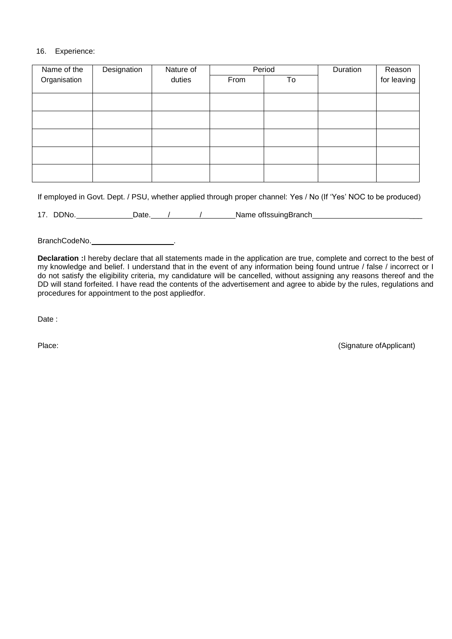#### 16. Experience:

| Name of the  | Designation | Nature of | Period |    | Duration | Reason      |
|--------------|-------------|-----------|--------|----|----------|-------------|
| Organisation |             | duties    | From   | To |          | for leaving |
|              |             |           |        |    |          |             |
|              |             |           |        |    |          |             |
|              |             |           |        |    |          |             |
|              |             |           |        |    |          |             |
|              |             |           |        |    |          |             |
|              |             |           |        |    |          |             |
|              |             |           |        |    |          |             |
|              |             |           |        |    |          |             |
|              |             |           |        |    |          |             |
|              |             |           |        |    |          |             |
|              |             |           |        |    |          |             |

If employed in Govt. Dept. / PSU, whether applied through proper channel: Yes / No (If 'Yes' NOC to be produced)

17. DDNo. Date. / / / Date Name ofIssuingBranch

BranchCodeNo. Notified a series of the series of the series of the series of the series of the series of the series of the series of the series of the series of the series of the series of the series of the series of the s

**Declaration :**I hereby declare that all statements made in the application are true, complete and correct to the best of my knowledge and belief. I understand that in the event of any information being found untrue / false / incorrect or I do not satisfy the eligibility criteria, my candidature will be cancelled, without assigning any reasons thereof and the DD will stand forfeited. I have read the contents of the advertisement and agree to abide by the rules, regulations and procedures for appointment to the post appliedfor.

Date :

Place: (Signature of Applicant)